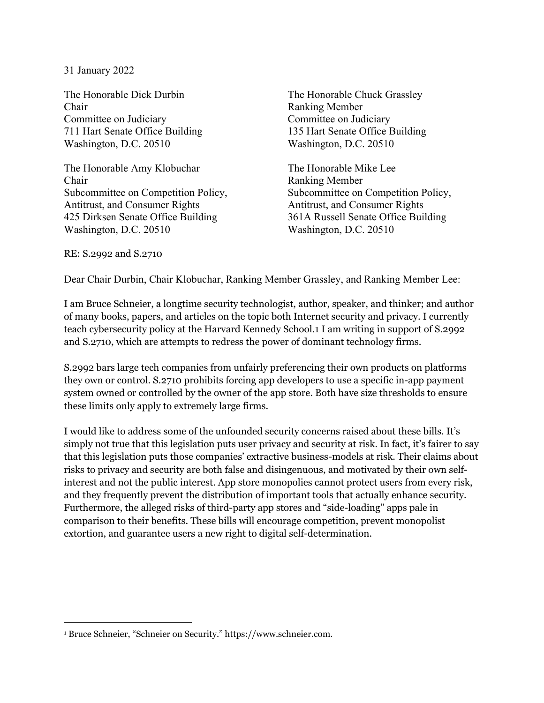## 31 January 2022

The Honorable Dick Durbin The Honorable Chuck Grassley Chair Ranking Member Committee on Judiciary Committee on Judiciary 711 Hart Senate Office Building 135 Hart Senate Office Building Washington, D.C. 20510 Washington, D.C. 20510

The Honorable Amy Klobuchar The Honorable Mike Lee Chair Ranking Member Antitrust, and Consumer Rights **Antitrust**, and Consumer Rights 425 Dirksen Senate Office Building 361A Russell Senate Office Building Washington, D.C. 20510 Washington, D.C. 20510

Subcommittee on Competition Policy, Subcommittee on Competition Policy,

RE: S.2992 and S.2710

 $\overline{a}$ 

Dear Chair Durbin, Chair Klobuchar, Ranking Member Grassley, and Ranking Member Lee:

I am Bruce Schneier, a longtime security technologist, author, speaker, and thinker; and author of many books, papers, and articles on the topic both Internet security and privacy. I currently teach cybersecurity policy at the Harvard Kennedy School.1 I am writing in support of S.2992 and S.2710, which are attempts to redress the power of dominant technology firms.

S.2992 bars large tech companies from unfairly preferencing their own products on platforms they own or control. S.2710 prohibits forcing app developers to use a specific in-app payment system owned or controlled by the owner of the app store. Both have size thresholds to ensure these limits only apply to extremely large firms.

I would like to address some of the unfounded security concerns raised about these bills. It's simply not true that this legislation puts user privacy and security at risk. In fact, it's fairer to say that this legislation puts those companies' extractive business-models at risk. Their claims about risks to privacy and security are both false and disingenuous, and motivated by their own selfinterest and not the public interest. App store monopolies cannot protect users from every risk, and they frequently prevent the distribution of important tools that actually enhance security. Furthermore, the alleged risks of third-party app stores and "side-loading" apps pale in comparison to their benefits. These bills will encourage competition, prevent monopolist extortion, and guarantee users a new right to digital self-determination.

<sup>1</sup> Bruce Schneier, "Schneier on Security." https://www.schneier.com.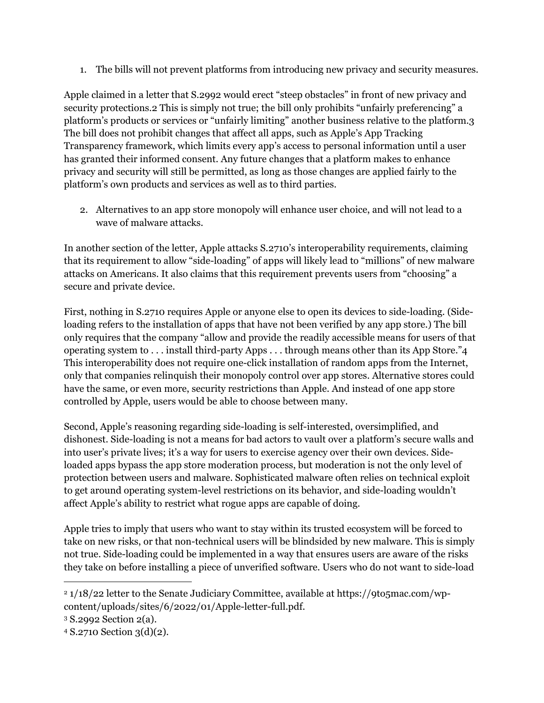1. The bills will not prevent platforms from introducing new privacy and security measures.

Apple claimed in a letter that S.2992 would erect "steep obstacles" in front of new privacy and security protections.2 This is simply not true; the bill only prohibits "unfairly preferencing" a platform's products or services or "unfairly limiting" another business relative to the platform.3 The bill does not prohibit changes that affect all apps, such as Apple's App Tracking Transparency framework, which limits every app's access to personal information until a user has granted their informed consent. Any future changes that a platform makes to enhance privacy and security will still be permitted, as long as those changes are applied fairly to the platform's own products and services as well as to third parties.

2. Alternatives to an app store monopoly will enhance user choice, and will not lead to a wave of malware attacks.

In another section of the letter, Apple attacks S.2710's interoperability requirements, claiming that its requirement to allow "side-loading" of apps will likely lead to "millions" of new malware attacks on Americans. It also claims that this requirement prevents users from "choosing" a secure and private device.

First, nothing in S.2710 requires Apple or anyone else to open its devices to side-loading. (Sideloading refers to the installation of apps that have not been verified by any app store.) The bill only requires that the company "allow and provide the readily accessible means for users of that operating system to . . . install third-party Apps . . . through means other than its App Store."4 This interoperability does not require one-click installation of random apps from the Internet, only that companies relinquish their monopoly control over app stores. Alternative stores could have the same, or even more, security restrictions than Apple. And instead of one app store controlled by Apple, users would be able to choose between many.

Second, Apple's reasoning regarding side-loading is self-interested, oversimplified, and dishonest. Side-loading is not a means for bad actors to vault over a platform's secure walls and into user's private lives; it's a way for users to exercise agency over their own devices. Sideloaded apps bypass the app store moderation process, but moderation is not the only level of protection between users and malware. Sophisticated malware often relies on technical exploit to get around operating system-level restrictions on its behavior, and side-loading wouldn't affect Apple's ability to restrict what rogue apps are capable of doing.

Apple tries to imply that users who want to stay within its trusted ecosystem will be forced to take on new risks, or that non-technical users will be blindsided by new malware. This is simply not true. Side-loading could be implemented in a way that ensures users are aware of the risks they take on before installing a piece of unverified software. Users who do not want to side-load

<u>.</u>

<sup>&</sup>lt;sup>2</sup> 1/18/22 letter to the Senate Judiciary Committee, available at https://9to5mac.com/wpcontent/uploads/sites/6/2022/01/Apple-letter-full.pdf.

<sup>3</sup> S.2992 Section 2(a).

<sup>4</sup> S.2710 Section 3(d)(2).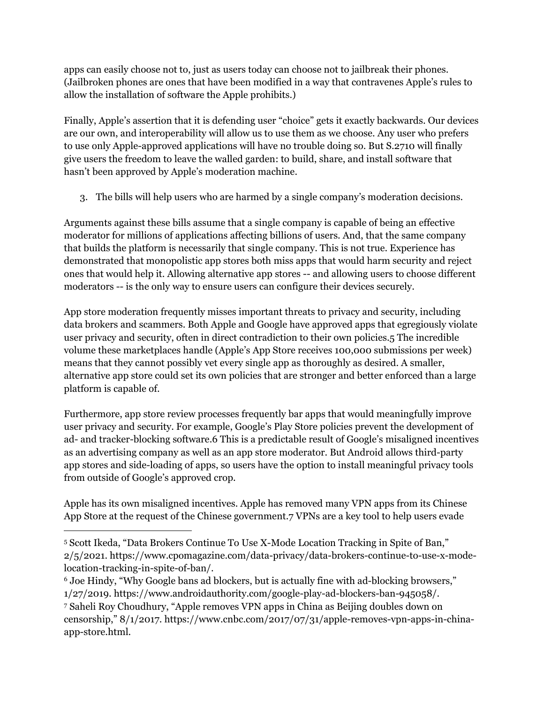apps can easily choose not to, just as users today can choose not to jailbreak their phones. (Jailbroken phones are ones that have been modified in a way that contravenes Apple's rules to allow the installation of software the Apple prohibits.)

Finally, Apple's assertion that it is defending user "choice" gets it exactly backwards. Our devices are our own, and interoperability will allow us to use them as we choose. Any user who prefers to use only Apple-approved applications will have no trouble doing so. But S.2710 will finally give users the freedom to leave the walled garden: to build, share, and install software that hasn't been approved by Apple's moderation machine.

3. The bills will help users who are harmed by a single company's moderation decisions.

Arguments against these bills assume that a single company is capable of being an effective moderator for millions of applications affecting billions of users. And, that the same company that builds the platform is necessarily that single company. This is not true. Experience has demonstrated that monopolistic app stores both miss apps that would harm security and reject ones that would help it. Allowing alternative app stores -- and allowing users to choose different moderators -- is the only way to ensure users can configure their devices securely.

App store moderation frequently misses important threats to privacy and security, including data brokers and scammers. Both Apple and Google have approved apps that egregiously violate user privacy and security, often in direct contradiction to their own policies.5 The incredible volume these marketplaces handle (Apple's App Store receives 100,000 submissions per week) means that they cannot possibly vet every single app as thoroughly as desired. A smaller, alternative app store could set its own policies that are stronger and better enforced than a large platform is capable of.

Furthermore, app store review processes frequently bar apps that would meaningfully improve user privacy and security. For example, Google's Play Store policies prevent the development of ad- and tracker-blocking software.6 This is a predictable result of Google's misaligned incentives as an advertising company as well as an app store moderator. But Android allows third-party app stores and side-loading of apps, so users have the option to install meaningful privacy tools from outside of Google's approved crop.

Apple has its own misaligned incentives. Apple has removed many VPN apps from its Chinese App Store at the request of the Chinese government.7 VPNs are a key tool to help users evade

 $\overline{a}$ 

6 Joe Hindy, "Why Google bans ad blockers, but is actually fine with ad-blocking browsers," 1/27/2019. https://www.androidauthority.com/google-play-ad-blockers-ban-945058/.

7 Saheli Roy Choudhury, "Apple removes VPN apps in China as Beijing doubles down on censorship," 8/1/2017. https://www.cnbc.com/2017/07/31/apple-removes-vpn-apps-in-chinaapp-store.html.

<sup>5</sup> Scott Ikeda, "Data Brokers Continue To Use X-Mode Location Tracking in Spite of Ban," 2/5/2021. https://www.cpomagazine.com/data-privacy/data-brokers-continue-to-use-x-modelocation-tracking-in-spite-of-ban/.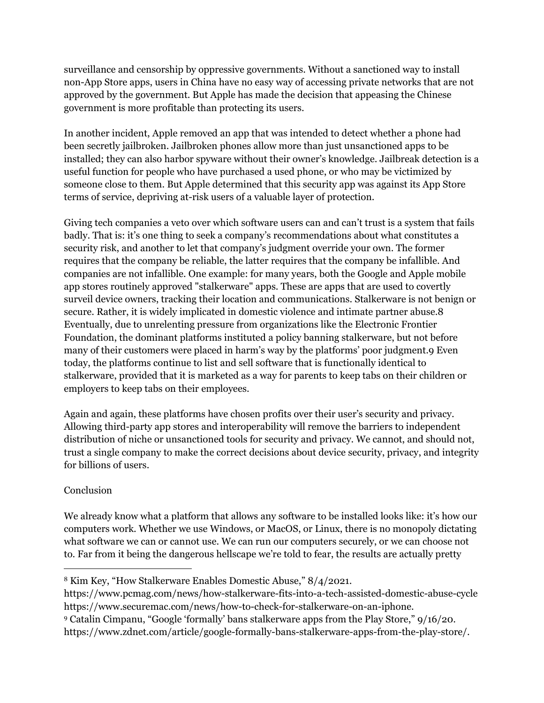surveillance and censorship by oppressive governments. Without a sanctioned way to install non-App Store apps, users in China have no easy way of accessing private networks that are not approved by the government. But Apple has made the decision that appeasing the Chinese government is more profitable than protecting its users.

In another incident, Apple removed an app that was intended to detect whether a phone had been secretly jailbroken. Jailbroken phones allow more than just unsanctioned apps to be installed; they can also harbor spyware without their owner's knowledge. Jailbreak detection is a useful function for people who have purchased a used phone, or who may be victimized by someone close to them. But Apple determined that this security app was against its App Store terms of service, depriving at-risk users of a valuable layer of protection.

Giving tech companies a veto over which software users can and can't trust is a system that fails badly. That is: it's one thing to seek a company's recommendations about what constitutes a security risk, and another to let that company's judgment override your own. The former requires that the company be reliable, the latter requires that the company be infallible. And companies are not infallible. One example: for many years, both the Google and Apple mobile app stores routinely approved "stalkerware" apps. These are apps that are used to covertly surveil device owners, tracking their location and communications. Stalkerware is not benign or secure. Rather, it is widely implicated in domestic violence and intimate partner abuse.8 Eventually, due to unrelenting pressure from organizations like the Electronic Frontier Foundation, the dominant platforms instituted a policy banning stalkerware, but not before many of their customers were placed in harm's way by the platforms' poor judgment.9 Even today, the platforms continue to list and sell software that is functionally identical to stalkerware, provided that it is marketed as a way for parents to keep tabs on their children or employers to keep tabs on their employees.

Again and again, these platforms have chosen profits over their user's security and privacy. Allowing third-party app stores and interoperability will remove the barriers to independent distribution of niche or unsanctioned tools for security and privacy. We cannot, and should not, trust a single company to make the correct decisions about device security, privacy, and integrity for billions of users.

## Conclusion

<u>.</u>

We already know what a platform that allows any software to be installed looks like: it's how our computers work. Whether we use Windows, or MacOS, or Linux, there is no monopoly dictating what software we can or cannot use. We can run our computers securely, or we can choose not to. Far from it being the dangerous hellscape we're told to fear, the results are actually pretty

<sup>8</sup> Kim Key, "How Stalkerware Enables Domestic Abuse," 8/4/2021.

https://www.pcmag.com/news/how-stalkerware-fits-into-a-tech-assisted-domestic-abuse-cycle https://www.securemac.com/news/how-to-check-for-stalkerware-on-an-iphone.

<sup>9</sup> Catalin Cimpanu, "Google 'formally' bans stalkerware apps from the Play Store," 9/16/20. https://www.zdnet.com/article/google-formally-bans-stalkerware-apps-from-the-play-store/.